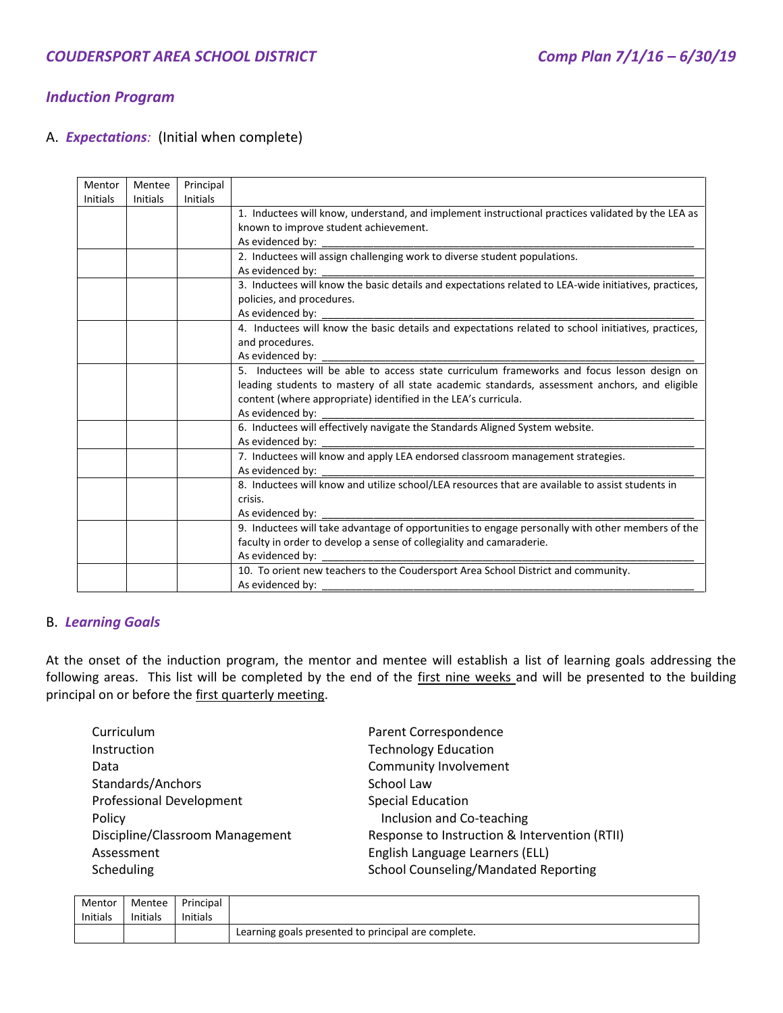# *Induction Program*

## A. *Expectations:* (Initial when complete)

| Mentor          | Mentee          | Principal       |                                                                                                       |
|-----------------|-----------------|-----------------|-------------------------------------------------------------------------------------------------------|
| <b>Initials</b> | <b>Initials</b> | <b>Initials</b> |                                                                                                       |
|                 |                 |                 | 1. Inductees will know, understand, and implement instructional practices validated by the LEA as     |
|                 |                 |                 | known to improve student achievement.                                                                 |
|                 |                 |                 | As evidenced by:                                                                                      |
|                 |                 |                 | 2. Inductees will assign challenging work to diverse student populations.                             |
|                 |                 |                 | As evidenced by:                                                                                      |
|                 |                 |                 | 3. Inductees will know the basic details and expectations related to LEA-wide initiatives, practices, |
|                 |                 |                 | policies, and procedures.                                                                             |
|                 |                 |                 | As evidenced by:                                                                                      |
|                 |                 |                 | 4. Inductees will know the basic details and expectations related to school initiatives, practices,   |
|                 |                 |                 | and procedures.                                                                                       |
|                 |                 |                 | As evidenced by:                                                                                      |
|                 |                 |                 | 5. Inductees will be able to access state curriculum frameworks and focus lesson design on            |
|                 |                 |                 | leading students to mastery of all state academic standards, assessment anchors, and eligible         |
|                 |                 |                 | content (where appropriate) identified in the LEA's curricula.                                        |
|                 |                 |                 | As evidenced by:                                                                                      |
|                 |                 |                 | 6. Inductees will effectively navigate the Standards Aligned System website.                          |
|                 |                 |                 | As evidenced by:                                                                                      |
|                 |                 |                 | 7. Inductees will know and apply LEA endorsed classroom management strategies.                        |
|                 |                 |                 | As evidenced by:                                                                                      |
|                 |                 |                 | 8. Inductees will know and utilize school/LEA resources that are available to assist students in      |
|                 |                 |                 | crisis.                                                                                               |
|                 |                 |                 | As evidenced by:                                                                                      |
|                 |                 |                 | 9. Inductees will take advantage of opportunities to engage personally with other members of the      |
|                 |                 |                 | faculty in order to develop a sense of collegiality and camaraderie.                                  |
|                 |                 |                 | As evidenced by:                                                                                      |
|                 |                 |                 | 10. To orient new teachers to the Coudersport Area School District and community.                     |
|                 |                 |                 | As evidenced by:                                                                                      |

#### B. *Learning Goals*

At the onset of the induction program, the mentor and mentee will establish a list of learning goals addressing the following areas. This list will be completed by the end of the first nine weeks and will be presented to the building principal on or before the first quarterly meeting.

| Curriculum                      | Parent Correspondence                         |
|---------------------------------|-----------------------------------------------|
| <b>Instruction</b>              | <b>Technology Education</b>                   |
| Data                            | Community Involvement                         |
| Standards/Anchors               | School Law                                    |
| <b>Professional Development</b> | <b>Special Education</b>                      |
| Policy                          | Inclusion and Co-teaching                     |
| Discipline/Classroom Management | Response to Instruction & Intervention (RTII) |
| Assessment                      | English Language Learners (ELL)               |
| Scheduling                      | <b>School Counseling/Mandated Reporting</b>   |

| Mentor          | Mentee          | Principal       |                                                     |
|-----------------|-----------------|-----------------|-----------------------------------------------------|
| <b>Initials</b> | <b>Initials</b> | <b>Initials</b> |                                                     |
|                 |                 |                 | Learning goals presented to principal are complete. |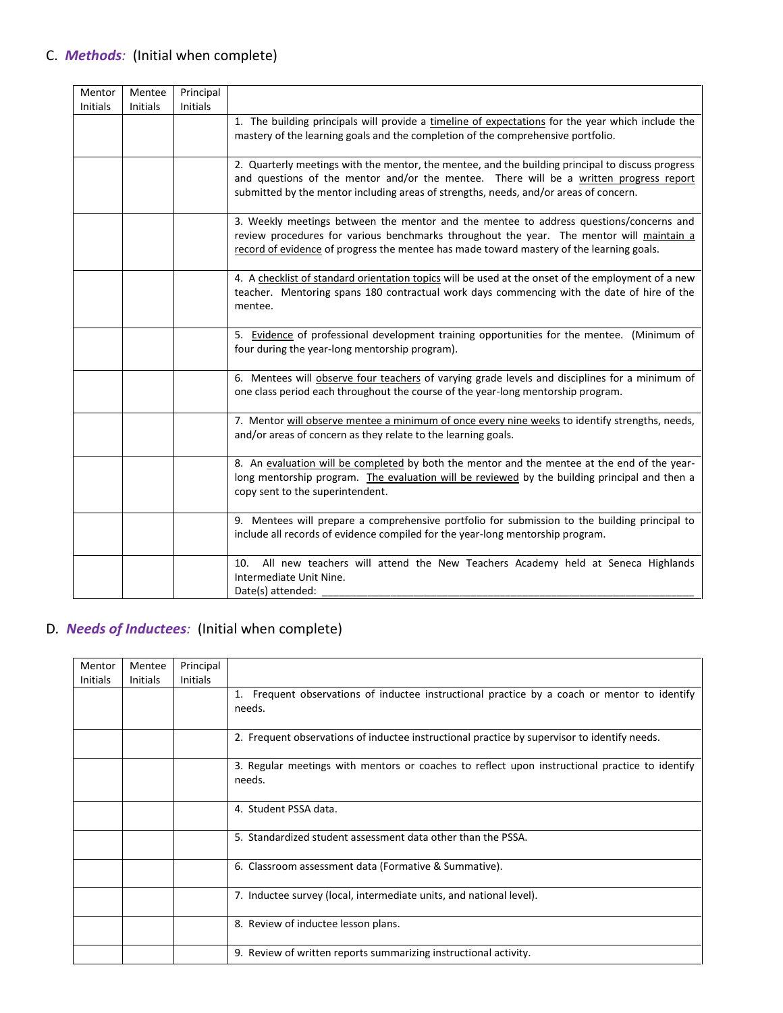| Mentor<br><b>Initials</b> | Mentee<br><b>Initials</b> | Principal<br>Initials |                                                                                                                                                                                                                                                                                      |
|---------------------------|---------------------------|-----------------------|--------------------------------------------------------------------------------------------------------------------------------------------------------------------------------------------------------------------------------------------------------------------------------------|
|                           |                           |                       | 1. The building principals will provide a timeline of expectations for the year which include the<br>mastery of the learning goals and the completion of the comprehensive portfolio.                                                                                                |
|                           |                           |                       | 2. Quarterly meetings with the mentor, the mentee, and the building principal to discuss progress<br>and questions of the mentor and/or the mentee. There will be a written progress report<br>submitted by the mentor including areas of strengths, needs, and/or areas of concern. |
|                           |                           |                       | 3. Weekly meetings between the mentor and the mentee to address questions/concerns and<br>review procedures for various benchmarks throughout the year. The mentor will maintain a<br>record of evidence of progress the mentee has made toward mastery of the learning goals.       |
|                           |                           |                       | 4. A checklist of standard orientation topics will be used at the onset of the employment of a new<br>teacher. Mentoring spans 180 contractual work days commencing with the date of hire of the<br>mentee.                                                                          |
|                           |                           |                       | 5. Evidence of professional development training opportunities for the mentee. (Minimum of<br>four during the year-long mentorship program).                                                                                                                                         |
|                           |                           |                       | 6. Mentees will observe four teachers of varying grade levels and disciplines for a minimum of<br>one class period each throughout the course of the year-long mentorship program.                                                                                                   |
|                           |                           |                       | 7. Mentor will observe mentee a minimum of once every nine weeks to identify strengths, needs,<br>and/or areas of concern as they relate to the learning goals.                                                                                                                      |
|                           |                           |                       | 8. An evaluation will be completed by both the mentor and the mentee at the end of the year-<br>long mentorship program. The evaluation will be reviewed by the building principal and then a<br>copy sent to the superintendent.                                                    |
|                           |                           |                       | 9. Mentees will prepare a comprehensive portfolio for submission to the building principal to<br>include all records of evidence compiled for the year-long mentorship program.                                                                                                      |
|                           |                           |                       | All new teachers will attend the New Teachers Academy held at Seneca Highlands<br>10.<br>Intermediate Unit Nine.<br>Date(s) attended:                                                                                                                                                |

# D*. Needs of Inductees:* (Initial when complete)

| Mentor   | Mentee          | Principal       |                                                                                                |
|----------|-----------------|-----------------|------------------------------------------------------------------------------------------------|
| Initials | <b>Initials</b> | <b>Initials</b> |                                                                                                |
|          |                 |                 | 1. Frequent observations of inductee instructional practice by a coach or mentor to identify   |
|          |                 |                 | needs.                                                                                         |
|          |                 |                 |                                                                                                |
|          |                 |                 | 2. Frequent observations of inductee instructional practice by supervisor to identify needs.   |
|          |                 |                 | 3. Regular meetings with mentors or coaches to reflect upon instructional practice to identify |
|          |                 |                 | needs.                                                                                         |
|          |                 |                 |                                                                                                |
|          |                 |                 | 4. Student PSSA data.                                                                          |
|          |                 |                 |                                                                                                |
|          |                 |                 | 5. Standardized student assessment data other than the PSSA.                                   |
|          |                 |                 |                                                                                                |
|          |                 |                 | 6. Classroom assessment data (Formative & Summative).                                          |
|          |                 |                 |                                                                                                |
|          |                 |                 | 7. Inductee survey (local, intermediate units, and national level).                            |
|          |                 |                 |                                                                                                |
|          |                 |                 | 8. Review of inductee lesson plans.                                                            |
|          |                 |                 |                                                                                                |
|          |                 |                 | 9. Review of written reports summarizing instructional activity.                               |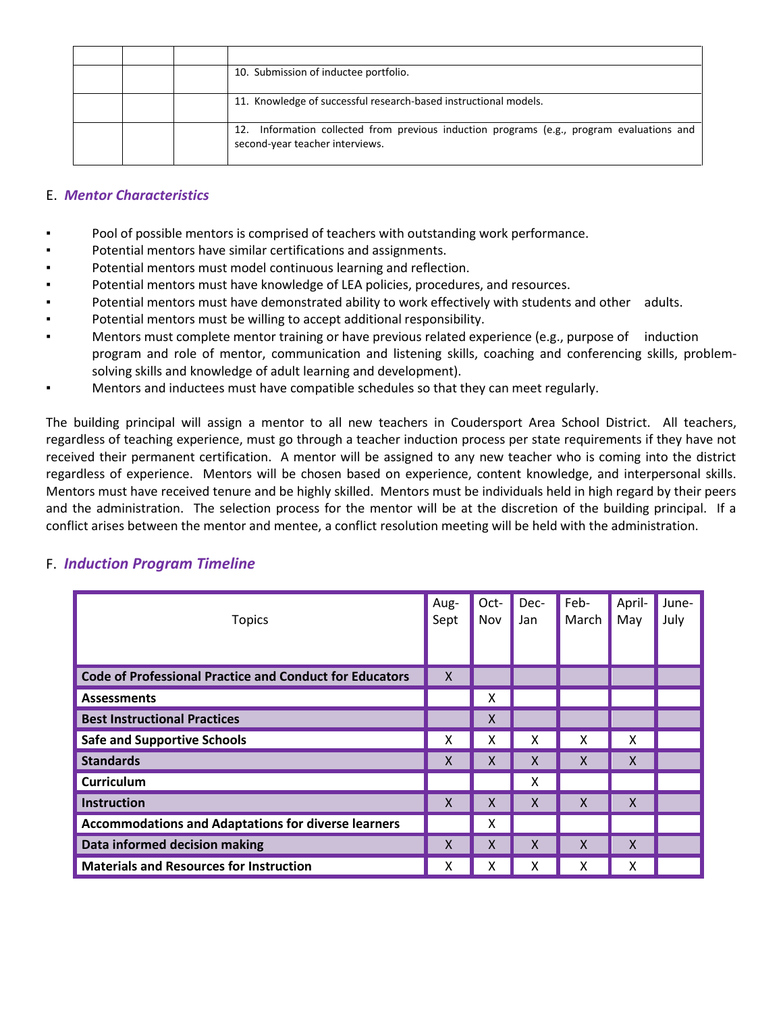|  | 10. Submission of inductee portfolio.                                                                                        |
|--|------------------------------------------------------------------------------------------------------------------------------|
|  | 11. Knowledge of successful research-based instructional models.                                                             |
|  | 12. Information collected from previous induction programs (e.g., program evaluations and<br>second-year teacher interviews. |

#### E. *Mentor Characteristics*

- Pool of possible mentors is comprised of teachers with outstanding work performance.
- Potential mentors have similar certifications and assignments.
- Potential mentors must model continuous learning and reflection.
- Potential mentors must have knowledge of LEA policies, procedures, and resources.
- Potential mentors must have demonstrated ability to work effectively with students and other adults.
- Potential mentors must be willing to accept additional responsibility.
- Mentors must complete mentor training or have previous related experience (e.g., purpose of induction program and role of mentor, communication and listening skills, coaching and conferencing skills, problemsolving skills and knowledge of adult learning and development).
- Mentors and inductees must have compatible schedules so that they can meet regularly.

The building principal will assign a mentor to all new teachers in Coudersport Area School District. All teachers, regardless of teaching experience, must go through a teacher induction process per state requirements if they have not received their permanent certification. A mentor will be assigned to any new teacher who is coming into the district regardless of experience. Mentors will be chosen based on experience, content knowledge, and interpersonal skills. Mentors must have received tenure and be highly skilled. Mentors must be individuals held in high regard by their peers and the administration. The selection process for the mentor will be at the discretion of the building principal. If a conflict arises between the mentor and mentee, a conflict resolution meeting will be held with the administration.

| <b>Topics</b>                                                  | Aug-<br>Sept | Oct-<br>Nov | Dec-<br>Jan | Feb-<br>March | April-<br>May | June-<br>July |
|----------------------------------------------------------------|--------------|-------------|-------------|---------------|---------------|---------------|
| <b>Code of Professional Practice and Conduct for Educators</b> | X            |             |             |               |               |               |
| <b>Assessments</b>                                             |              | X           |             |               |               |               |
| <b>Best Instructional Practices</b>                            |              | X           |             |               |               |               |
| <b>Safe and Supportive Schools</b>                             | X            | x           | x           | x             | X             |               |
| <b>Standards</b>                                               | X            | X           | X           | $\mathsf{x}$  | X             |               |
| <b>Curriculum</b>                                              |              |             | x           |               |               |               |
| <b>Instruction</b>                                             | X            | X           | X           | X             | X             |               |
| <b>Accommodations and Adaptations for diverse learners</b>     |              | x           |             |               |               |               |
| Data informed decision making                                  | X            | X           | X           | $\times$      | X             |               |
| <b>Materials and Resources for Instruction</b>                 | x            | x           | x           | x             | X             |               |

#### F. *Induction Program Timeline*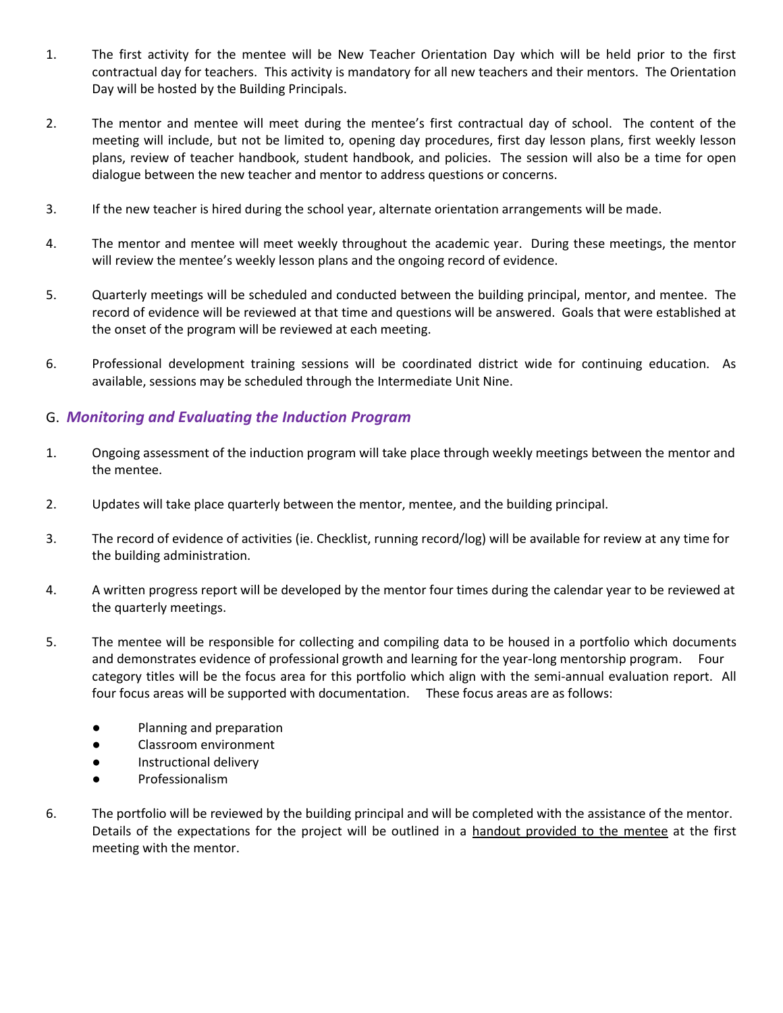- 1. The first activity for the mentee will be New Teacher Orientation Day which will be held prior to the first contractual day for teachers. This activity is mandatory for all new teachers and their mentors. The Orientation Day will be hosted by the Building Principals.
- 2. The mentor and mentee will meet during the mentee's first contractual day of school. The content of the meeting will include, but not be limited to, opening day procedures, first day lesson plans, first weekly lesson plans, review of teacher handbook, student handbook, and policies. The session will also be a time for open dialogue between the new teacher and mentor to address questions or concerns.
- 3. If the new teacher is hired during the school year, alternate orientation arrangements will be made.
- 4. The mentor and mentee will meet weekly throughout the academic year. During these meetings, the mentor will review the mentee's weekly lesson plans and the ongoing record of evidence.
- 5. Quarterly meetings will be scheduled and conducted between the building principal, mentor, and mentee. The record of evidence will be reviewed at that time and questions will be answered. Goals that were established at the onset of the program will be reviewed at each meeting.
- 6. Professional development training sessions will be coordinated district wide for continuing education. As available, sessions may be scheduled through the Intermediate Unit Nine.

## G. *Monitoring and Evaluating the Induction Program*

- 1. Ongoing assessment of the induction program will take place through weekly meetings between the mentor and the mentee.
- 2. Updates will take place quarterly between the mentor, mentee, and the building principal.
- 3. The record of evidence of activities (ie. Checklist, running record/log) will be available for review at any time for the building administration.
- 4. A written progress report will be developed by the mentor four times during the calendar year to be reviewed at the quarterly meetings.
- 5. The mentee will be responsible for collecting and compiling data to be housed in a portfolio which documents and demonstrates evidence of professional growth and learning for the year-long mentorship program. Four category titles will be the focus area for this portfolio which align with the semi-annual evaluation report. All four focus areas will be supported with documentation. These focus areas are as follows:
	- Planning and preparation
	- Classroom environment
	- Instructional delivery
	- Professionalism
- 6. The portfolio will be reviewed by the building principal and will be completed with the assistance of the mentor. Details of the expectations for the project will be outlined in a handout provided to the mentee at the first meeting with the mentor.